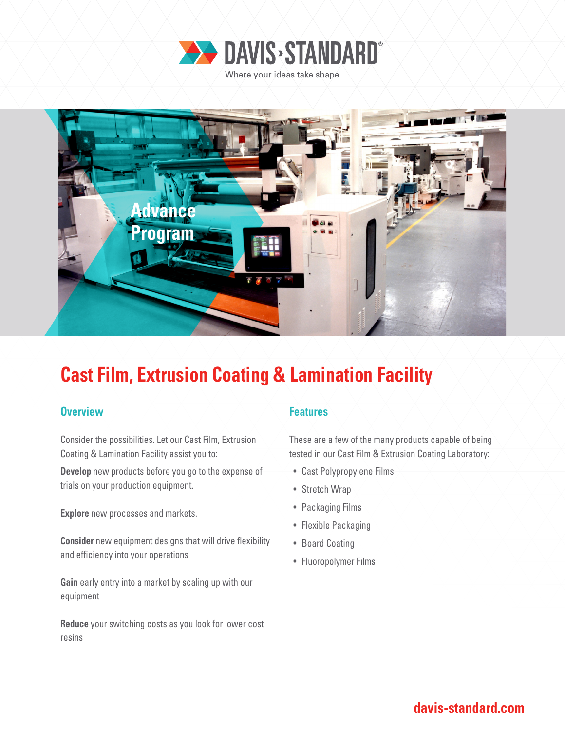



# **Cast Film, Extrusion Coating & Lamination Facility**

### **Overview Allen Accepted Accepted Accepted Accepted Accepted Accepted Accepted Accepted Accepted Accepted Accepted**

Consider the possibilities. Let our Cast Film, Extrusion Coating & Lamination Facility assist you to:

**Develop** new products before you go to the expense of trials on your production equipment.

**Explore** new processes and markets.

**Consider** new equipment designs that will drive flexibility and efficiency into your operations

**Gain** early entry into a market by scaling up with our equipment

**Reduce** your switching costs as you look for lower cost resins

These are a few of the many products capable of being tested in our Cast Film & Extrusion Coating Laboratory:

- Cast Polypropylene Films
- Stretch Wrap
- Packaging Films
- Flexible Packaging
- Board Coating
- Fluoropolymer Films

**davis-standard.com**